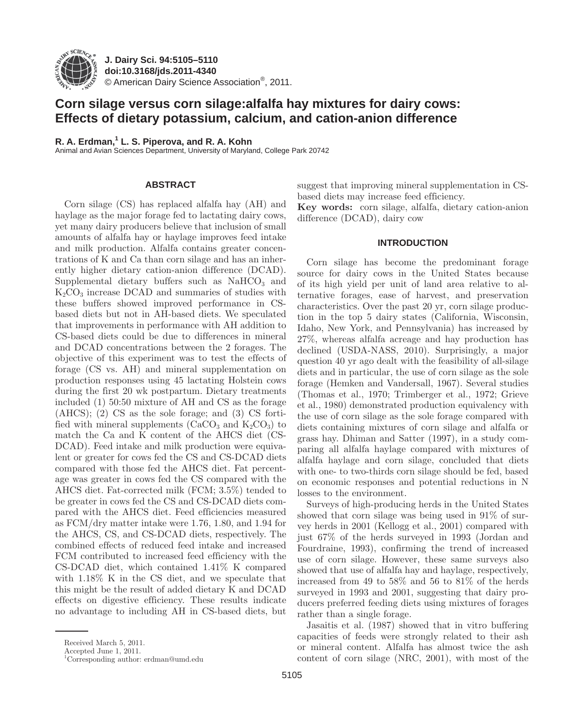

**J. Dairy Sci. 94 :5105–5110 doi: 10.3168/jds.2011-4340**  © American Dairy Science Association®, 2011 .

# **Corn silage versus corn silage:alfalfa hay mixtures for dairy cows: Effects of dietary potassium, calcium, and cation-anion difference**

R. A. Erdman,<sup>1</sup> L. S. Piperova, and R. A. Kohn

Animal and Avian Sciences Department, University of Maryland, College Park 20742

# **ABSTRACT**

Corn silage (CS) has replaced alfalfa hay (AH) and haylage as the major forage fed to lactating dairy cows, yet many dairy producers believe that inclusion of small amounts of alfalfa hay or haylage improves feed intake and milk production. Alfalfa contains greater concentrations of K and Ca than corn silage and has an inherently higher dietary cation-anion difference (DCAD). Supplemental dietary buffers such as  $NaHCO<sub>3</sub>$  and  $K_2CO_3$  increase DCAD and summaries of studies with these buffers showed improved performance in CSbased diets but not in AH-based diets. We speculated that improvements in performance with AH addition to CS-based diets could be due to differences in mineral and DCAD concentrations between the 2 forages. The objective of this experiment was to test the effects of forage (CS vs. AH) and mineral supplementation on production responses using 45 lactating Holstein cows during the first 20 wk postpartum. Dietary treatments included (1) 50:50 mixture of AH and CS as the forage (AHCS); (2) CS as the sole forage; and (3) CS fortified with mineral supplements  $(CaCO<sub>3</sub>$  and  $K<sub>2</sub>CO<sub>3</sub>)$  to match the Ca and K content of the AHCS diet (CS-DCAD). Feed intake and milk production were equivalent or greater for cows fed the CS and CS-DCAD diets compared with those fed the AHCS diet. Fat percentage was greater in cows fed the CS compared with the AHCS diet. Fat-corrected milk (FCM; 3.5%) tended to be greater in cows fed the CS and CS-DCAD diets compared with the AHCS diet. Feed efficiencies measured as FCM/dry matter intake were 1.76, 1.80, and 1.94 for the AHCS, CS, and CS-DCAD diets, respectively. The combined effects of reduced feed intake and increased FCM contributed to increased feed efficiency with the CS-DCAD diet, which contained 1.41% K compared with 1.18% K in the CS diet, and we speculate that this might be the result of added dietary K and DCAD effects on digestive efficiency. These results indicate no advantage to including AH in CS-based diets, but

Received March 5, 2011.

Accepted June 1, 2011.

1 Corresponding author: erdman@umd.edu

suggest that improving mineral supplementation in CSbased diets may increase feed efficiency.

**Key words:** corn silage, alfalfa, dietary cation-anion difference (DCAD), dairy cow

## **INTRODUCTION**

Corn silage has become the predominant forage source for dairy cows in the United States because of its high yield per unit of land area relative to alternative forages, ease of harvest, and preservation characteristics. Over the past 20 yr, corn silage production in the top 5 dairy states (California, Wisconsin, Idaho, New York, and Pennsylvania) has increased by 27%, whereas alfalfa acreage and hay production has declined (USDA-NASS, 2010). Surprisingly, a major question 40 yr ago dealt with the feasibility of all-silage diets and in particular, the use of corn silage as the sole forage (Hemken and Vandersall, 1967). Several studies (Thomas et al., 1970; Trimberger et al., 1972; Grieve et al., 1980) demonstrated production equivalency with the use of corn silage as the sole forage compared with diets containing mixtures of corn silage and alfalfa or grass hay. Dhiman and Satter (1997), in a study comparing all alfalfa haylage compared with mixtures of alfalfa haylage and corn silage, concluded that diets with one- to two-thirds corn silage should be fed, based on economic responses and potential reductions in N losses to the environment.

Surveys of high-producing herds in the United States showed that corn silage was being used in 91% of survey herds in 2001 (Kellogg et al., 2001) compared with just 67% of the herds surveyed in 1993 (Jordan and Fourdraine, 1993), confirming the trend of increased use of corn silage. However, these same surveys also showed that use of alfalfa hay and haylage, respectively, increased from 49 to 58% and 56 to 81% of the herds surveyed in 1993 and 2001, suggesting that dairy producers preferred feeding diets using mixtures of forages rather than a single forage.

Jasaitis et al. (1987) showed that in vitro buffering capacities of feeds were strongly related to their ash or mineral content. Alfalfa has almost twice the ash content of corn silage (NRC, 2001), with most of the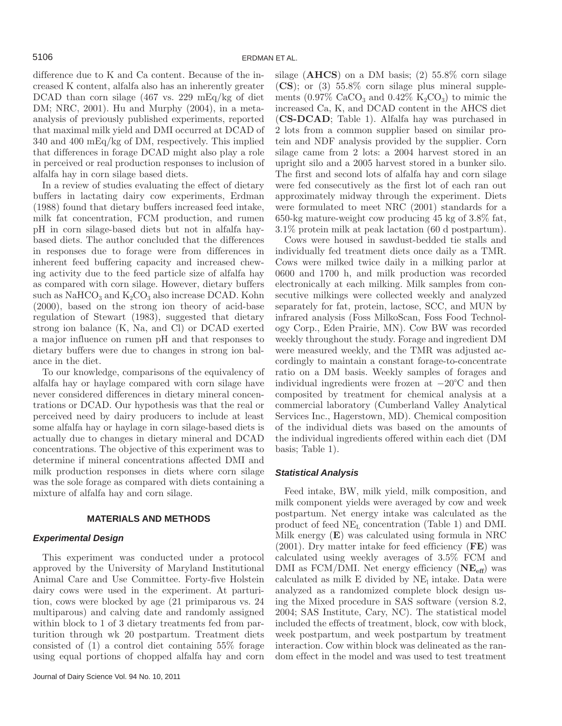difference due to K and Ca content. Because of the increased K content, alfalfa also has an inherently greater DCAD than corn silage (467 vs. 229 mEq/kg of diet DM; NRC, 2001). Hu and Murphy (2004), in a metaanalysis of previously published experiments, reported that maximal milk yield and DMI occurred at DCAD of 340 and 400 mEq/kg of DM, respectively. This implied that differences in forage DCAD might also play a role in perceived or real production responses to inclusion of alfalfa hay in corn silage based diets.

In a review of studies evaluating the effect of dietary buffers in lactating dairy cow experiments, Erdman (1988) found that dietary buffers increased feed intake, milk fat concentration, FCM production, and rumen pH in corn silage-based diets but not in alfalfa haybased diets. The author concluded that the differences in responses due to forage were from differences in inherent feed buffering capacity and increased chewing activity due to the feed particle size of alfalfa hay as compared with corn silage. However, dietary buffers such as  $\text{NaHCO}_3$  and  $\text{K}_2\text{CO}_3$  also increase DCAD. Kohn (2000), based on the strong ion theory of acid-base regulation of Stewart (1983), suggested that dietary strong ion balance (K, Na, and Cl) or DCAD exerted a major influence on rumen pH and that responses to dietary buffers were due to changes in strong ion balance in the diet.

To our knowledge, comparisons of the equivalency of alfalfa hay or haylage compared with corn silage have never considered differences in dietary mineral concentrations or DCAD. Our hypothesis was that the real or perceived need by dairy producers to include at least some alfalfa hay or haylage in corn silage-based diets is actually due to changes in dietary mineral and DCAD concentrations. The objective of this experiment was to determine if mineral concentrations affected DMI and milk production responses in diets where corn silage was the sole forage as compared with diets containing a mixture of alfalfa hay and corn silage.

# **MATERIALS AND METHODS**

#### *Experimental Design*

This experiment was conducted under a protocol approved by the University of Maryland Institutional Animal Care and Use Committee. Forty-five Holstein dairy cows were used in the experiment. At parturition, cows were blocked by age (21 primiparous vs. 24 multiparous) and calving date and randomly assigned within block to 1 of 3 dietary treatments fed from parturition through wk 20 postpartum. Treatment diets consisted of (1) a control diet containing 55% forage using equal portions of chopped alfalfa hay and corn silage (**AHCS**) on a DM basis; (2) 55.8% corn silage (**CS**); or (3) 55.8% corn silage plus mineral supplements  $(0.97\% \text{ CaCO}_3 \text{ and } 0.42\% \text{ K}_2\text{CO}_3)$  to mimic the increased Ca, K, and DCAD content in the AHCS diet (**CS-DCAD**; Table 1). Alfalfa hay was purchased in 2 lots from a common supplier based on similar protein and NDF analysis provided by the supplier. Corn silage came from 2 lots: a 2004 harvest stored in an upright silo and a 2005 harvest stored in a bunker silo. The first and second lots of alfalfa hay and corn silage were fed consecutively as the first lot of each ran out approximately midway through the experiment. Diets were formulated to meet NRC (2001) standards for a 650-kg mature-weight cow producing 45 kg of 3.8% fat, 3.1% protein milk at peak lactation (60 d postpartum).

Cows were housed in sawdust-bedded tie stalls and individually fed treatment diets once daily as a TMR. Cows were milked twice daily in a milking parlor at 0600 and 1700 h, and milk production was recorded electronically at each milking. Milk samples from consecutive milkings were collected weekly and analyzed separately for fat, protein, lactose, SCC, and MUN by infrared analysis (Foss MilkoScan, Foss Food Technology Corp., Eden Prairie, MN). Cow BW was recorded weekly throughout the study. Forage and ingredient DM were measured weekly, and the TMR was adjusted accordingly to maintain a constant forage-to-concentrate ratio on a DM basis. Weekly samples of forages and individual ingredients were frozen at −20°C and then composited by treatment for chemical analysis at a commercial laboratory (Cumberland Valley Analytical Services Inc., Hagerstown, MD). Chemical composition of the individual diets was based on the amounts of the individual ingredients offered within each diet (DM basis; Table 1).

#### *Statistical Analysis*

Feed intake, BW, milk yield, milk composition, and milk component yields were averaged by cow and week postpartum. Net energy intake was calculated as the product of feed NEL concentration (Table 1) and DMI. Milk energy (**E**) was calculated using formula in NRC (2001). Dry matter intake for feed efficiency (**FE**) was calculated using weekly averages of 3.5% FCM and DMI as FCM/DMI. Net energy efficiency ( $NE<sub>eff</sub>$ ) was calculated as milk  $E$  divided by  $NE<sub>l</sub>$  intake. Data were analyzed as a randomized complete block design using the Mixed procedure in SAS software (version 8.2, 2004; SAS Institute, Cary, NC). The statistical model included the effects of treatment, block, cow with block, week postpartum, and week postpartum by treatment interaction. Cow within block was delineated as the random effect in the model and was used to test treatment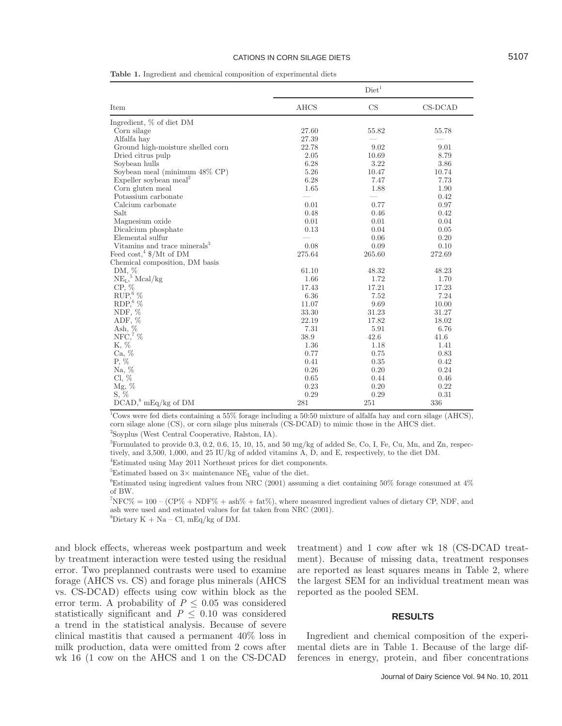**Table 1.** Ingredient and chemical composition of experimental diets

|                                                     | Diet <sup>1</sup> |        |         |  |  |  |
|-----------------------------------------------------|-------------------|--------|---------|--|--|--|
| Item                                                | <b>AHCS</b>       | CS     | CS-DCAD |  |  |  |
| Ingredient, % of diet DM                            |                   |        |         |  |  |  |
| Corn silage                                         | 27.60             | 55.82  | 55.78   |  |  |  |
| Alfalfa hay                                         | 27.39             |        |         |  |  |  |
| Ground high-moisture shelled corn                   | 22.78             | 9.02   | 9.01    |  |  |  |
| Dried citrus pulp                                   | 2.05              | 10.69  | 8.79    |  |  |  |
| Soybean hulls                                       | 6.28              | 3.22   | 3.86    |  |  |  |
| Soybean meal (minimum 48% CP)                       | 5.26              | 10.47  | 10.74   |  |  |  |
| Expeller soybean meal <sup>2</sup>                  | 6.28              | 7.47   | 7.73    |  |  |  |
| Corn gluten meal                                    | 1.65              | 1.88   | 1.90    |  |  |  |
| Potassium carbonate                                 |                   |        | 0.42    |  |  |  |
| Calcium carbonate                                   | 0.01              | 0.77   | 0.97    |  |  |  |
| Salt                                                | 0.48              | 0.46   | 0.42    |  |  |  |
| Magnesium oxide                                     | 0.01              | 0.01   | 0.04    |  |  |  |
| Dicalcium phosphate                                 | 0.13              | 0.04   | 0.05    |  |  |  |
| Elemental sulfur                                    |                   | 0.06   | 0.20    |  |  |  |
| Vitamins and trace minerals <sup>3</sup>            | 0.08              | 0.09   | 0.10    |  |  |  |
| Feed $\cos t$ , <sup>4</sup> $\frac{1}{2}$ Mt of DM | 275.64            | 265.60 | 272.69  |  |  |  |
| Chemical composition, DM basis                      |                   |        |         |  |  |  |
| DM, $%$                                             | 61.10             | 48.32  | 48.23   |  |  |  |
| $NE_{L}$ , Mcal/kg                                  | 1.66              | 1.72   | 1.70    |  |  |  |
| $CP, \%$                                            | 17.43             | 17.21  | 17.23   |  |  |  |
| $\mathsf{RUP}_?^6$ %                                | 6.36              | 7.52   | 7.24    |  |  |  |
| $RDP, 6\%$                                          | 11.07             | 9.69   | 10.00   |  |  |  |
| NDF, %                                              | 33.30             | 31.23  | 31.27   |  |  |  |
| ADF, %                                              | 22.19             | 17.82  | 18.02   |  |  |  |
| Ash, $%$                                            | 7.31              | 5.91   | 6.76    |  |  |  |
| $NFC7$ %                                            | 38.9              | 42.6   | 41.6    |  |  |  |
| К, %                                                | 1.36              | 1.18   | 1.41    |  |  |  |
| Ca, %                                               | 0.77              | 0.75   | 0.83    |  |  |  |
| $P, \%$                                             | 0.41              | 0.35   | 0.42    |  |  |  |
| Na, $%$                                             | 0.26              | 0.20   | 0.24    |  |  |  |
| $Cl, \%$                                            | 0.65              | 0.44   | 0.46    |  |  |  |
| Mg, %                                               | 0.23              | 0.20   | 0.22    |  |  |  |
| $S, \%$                                             | 0.29              | 0.29   | 0.31    |  |  |  |
| $DCAD$ , $mEq/kg$ of DM                             | 281               | 251    | 336     |  |  |  |

1 Cows were fed diets containing a 55% forage including a 50:50 mixture of alfalfa hay and corn silage (AHCS), corn silage alone (CS), or corn silage plus minerals (CS-DCAD) to mimic those in the AHCS diet. 2 Soyplus (West Central Cooperative, Ralston, IA).

3 Formulated to provide 0.3, 0.2, 0.6, 15, 10, 15, and 50 mg/kg of added Se, Co, I, Fe, Cu, Mn, and Zn, respectively, and 3,500, 1,000, and 25 IU/kg of added vitamins A, D, and E, respectively, to the diet DM.

4 Estimated using May 2011 Northeast prices for diet components.

 $^5$ Estimated based on  $3\times$  maintenance NE $_{\rm L}$  value of the diet.

6 Estimated using ingredient values from NRC (2001) assuming a diet containing 50% forage consumed at 4% of BW.

 ${}^{7}NFC\% = 100 - (CP\% + NDF\% + \text{ash}\% + \text{fat}\%)$ , where measured ingredient values of dietary CP, NDF, and ash were used and estimated values for fat taken from NRC (2001).

 ${}^{8}$ Dietary K + Na – Cl, mEq/kg of DM.

and block effects, whereas week postpartum and week by treatment interaction were tested using the residual error. Two preplanned contrasts were used to examine forage (AHCS vs. CS) and forage plus minerals (AHCS vs. CS-DCAD) effects using cow within block as the error term. A probability of  $P \leq 0.05$  was considered statistically significant and  $P \leq 0.10$  was considered a trend in the statistical analysis. Because of severe clinical mastitis that caused a permanent 40% loss in milk production, data were omitted from 2 cows after wk 16 (1 cow on the AHCS and 1 on the CS-DCAD treatment) and 1 cow after wk 18 (CS-DCAD treatment). Because of missing data, treatment responses are reported as least squares means in Table 2, where the largest SEM for an individual treatment mean was reported as the pooled SEM.

#### **RESULTS**

Ingredient and chemical composition of the experimental diets are in Table 1. Because of the large differences in energy, protein, and fiber concentrations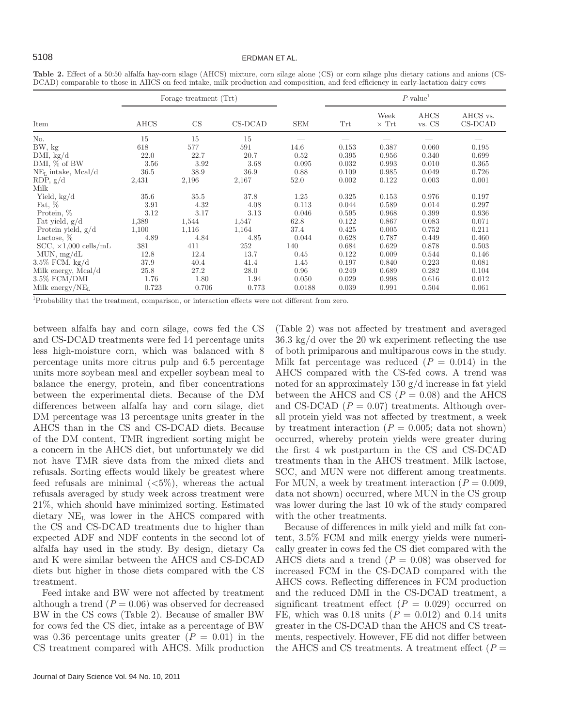### 5108 ERDMAN ET AL.

|                              | Forage treatment (Trt) |       |         |            | $P$ -value |                      |                |                     |
|------------------------------|------------------------|-------|---------|------------|------------|----------------------|----------------|---------------------|
| Item                         | AHCS                   | CS    | CS-DCAD | <b>SEM</b> | Trt        | Week<br>$\times$ Trt | AHCS<br>vs. CS | AHCS vs.<br>CS-DCAD |
| No.                          | 15                     | 15    | 15      |            |            |                      |                |                     |
| BW, kg                       | 618                    | 577   | 591     | 14.6       | 0.153      | 0.387                | 0.060          | 0.195               |
| DMI, kg/d                    | 22.0                   | 22.7  | 20.7    | 0.52       | 0.395      | 0.956                | 0.340          | 0.699               |
| DMI, $\%$ of BW              | 3.56                   | 3.92  | 3.68    | 0.095      | 0.032      | 0.993                | 0.010          | 0.365               |
| $NEL$ intake, Mcal/d         | 36.5                   | 38.9  | 36.9    | 0.88       | 0.109      | 0.985                | 0.049          | 0.726               |
| RDP, g/d                     | 2,431                  | 2,196 | 2,167   | 52.0       | 0.002      | 0.122                | 0.003          | 0.001               |
| Milk                         |                        |       |         |            |            |                      |                |                     |
| Yield, kg/d                  | 35.6                   | 35.5  | 37.8    | 1.25       | 0.325      | 0.153                | 0.976          | 0.197               |
| Fat, $%$                     | 3.91                   | 4.32  | 4.08    | 0.113      | 0.044      | 0.589                | 0.014          | 0.297               |
| Protein, %                   | 3.12                   | 3.17  | 3.13    | 0.046      | 0.595      | 0.968                | 0.399          | 0.936               |
| Fat yield, $g/d$             | 1,389                  | 1,544 | 1,547   | 62.8       | 0.122      | 0.867                | 0.083          | 0.071               |
| Protein yield, $g/d$         | 1,100                  | 1,116 | 1,164   | 37.4       | 0.425      | 0.005                | 0.752          | 0.211               |
| Lactose, $%$                 | 4.89                   | 4.84  | 4.85    | 0.044      | 0.628      | 0.787                | 0.449          | 0.460               |
| SCC, $\times$ 1,000 cells/mL | 381                    | 411   | 252     | 140        | 0.684      | 0.629                | 0.878          | 0.503               |
| MUN, mg/dL                   | 12.8                   | 12.4  | 13.7    | 0.45       | 0.122      | 0.009                | 0.544          | 0.146               |
| $3.5\%$ FCM, kg/d            | 37.9                   | 40.4  | 41.4    | 1.45       | 0.197      | 0.840                | 0.223          | 0.081               |
| Milk energy, Mcal/d          | 25.8                   | 27.2  | 28.0    | 0.96       | 0.249      | 0.689                | 0.282          | 0.104               |
| $3.5\%$ FCM/DMI              | 1.76                   | 1.80  | 1.94    | 0.050      | 0.029      | 0.998                | 0.616          | 0.012               |
| Milk energy/NE <sub>L</sub>  | 0.723                  | 0.706 | 0.773   | 0.0188     | 0.039      | 0.991                | 0.504          | 0.061               |

**Table 2.** Effect of a 50:50 alfalfa hay-corn silage (AHCS) mixture, corn silage alone (CS) or corn silage plus dietary cations and anions (CS-DCAD) comparable to those in AHCS on feed intake, milk production and composition, and feed efficiency in early-lactation dairy cows

<sup>1</sup>Probability that the treatment, comparison, or interaction effects were not different from zero.

between alfalfa hay and corn silage, cows fed the CS and CS-DCAD treatments were fed 14 percentage units less high-moisture corn, which was balanced with 8 percentage units more citrus pulp and 6.5 percentage units more soybean meal and expeller soybean meal to balance the energy, protein, and fiber concentrations between the experimental diets. Because of the DM differences between alfalfa hay and corn silage, diet DM percentage was 13 percentage units greater in the AHCS than in the CS and CS-DCAD diets. Because of the DM content, TMR ingredient sorting might be a concern in the AHCS diet, but unfortunately we did not have TMR sieve data from the mixed diets and refusals. Sorting effects would likely be greatest where feed refusals are minimal  $(<5\%)$ , whereas the actual refusals averaged by study week across treatment were 21%, which should have minimized sorting. Estimated dietary NEL was lower in the AHCS compared with the CS and CS-DCAD treatments due to higher than expected ADF and NDF contents in the second lot of alfalfa hay used in the study. By design, dietary Ca and K were similar between the AHCS and CS-DCAD diets but higher in those diets compared with the CS treatment.

Feed intake and BW were not affected by treatment although a trend  $(P = 0.06)$  was observed for decreased BW in the CS cows (Table 2). Because of smaller BW for cows fed the CS diet, intake as a percentage of BW was 0.36 percentage units greater  $(P = 0.01)$  in the CS treatment compared with AHCS. Milk production (Table 2) was not affected by treatment and averaged 36.3 kg/d over the 20 wk experiment reflecting the use of both primiparous and multiparous cows in the study. Milk fat percentage was reduced  $(P = 0.014)$  in the AHCS compared with the CS-fed cows. A trend was noted for an approximately 150 g/d increase in fat yield between the AHCS and CS  $(P = 0.08)$  and the AHCS and CS-DCAD  $(P = 0.07)$  treatments. Although overall protein yield was not affected by treatment, a week by treatment interaction  $(P = 0.005; \text{ data not shown})$ occurred, whereby protein yields were greater during the first 4 wk postpartum in the CS and CS-DCAD treatments than in the AHCS treatment. Milk lactose, SCC, and MUN were not different among treatments. For MUN, a week by treatment interaction  $(P = 0.009,$ data not shown) occurred, where MUN in the CS group was lower during the last 10 wk of the study compared with the other treatments.

Because of differences in milk yield and milk fat content, 3.5% FCM and milk energy yields were numerically greater in cows fed the CS diet compared with the AHCS diets and a trend  $(P = 0.08)$  was observed for increased FCM in the CS-DCAD compared with the AHCS cows. Reflecting differences in FCM production and the reduced DMI in the CS-DCAD treatment, a significant treatment effect  $(P = 0.029)$  occurred on FE, which was  $0.18$  units ( $P = 0.012$ ) and  $0.14$  units greater in the CS-DCAD than the AHCS and CS treatments, respectively. However, FE did not differ between the AHCS and CS treatments. A treatment effect  $(P =$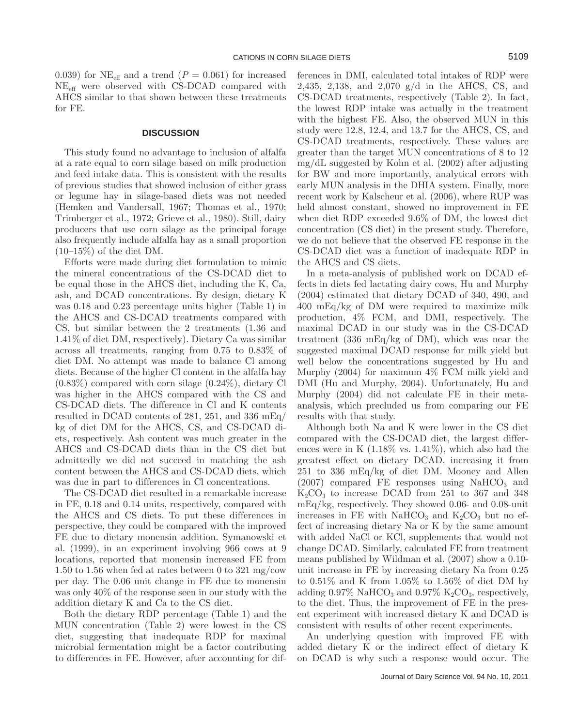0.039) for NE<sub>eff</sub> and a trend  $(P = 0.061)$  for increased NEeff were observed with CS-DCAD compared with AHCS similar to that shown between these treatments for FE.

### **DISCUSSION**

This study found no advantage to inclusion of alfalfa at a rate equal to corn silage based on milk production and feed intake data. This is consistent with the results of previous studies that showed inclusion of either grass or legume hay in silage-based diets was not needed (Hemken and Vandersall, 1967; Thomas et al., 1970; Trimberger et al., 1972; Grieve et al., 1980). Still, dairy producers that use corn silage as the principal forage also frequently include alfalfa hay as a small proportion  $(10-15\%)$  of the diet DM.

Efforts were made during diet formulation to mimic the mineral concentrations of the CS-DCAD diet to be equal those in the AHCS diet, including the K, Ca, ash, and DCAD concentrations. By design, dietary K was 0.18 and 0.23 percentage units higher (Table 1) in the AHCS and CS-DCAD treatments compared with CS, but similar between the 2 treatments (1.36 and 1.41% of diet DM, respectively). Dietary Ca was similar across all treatments, ranging from 0.75 to 0.83% of diet DM. No attempt was made to balance Cl among diets. Because of the higher Cl content in the alfalfa hay (0.83%) compared with corn silage (0.24%), dietary Cl was higher in the AHCS compared with the CS and CS-DCAD diets. The difference in Cl and K contents resulted in DCAD contents of 281, 251, and 336 mEq/ kg of diet DM for the AHCS, CS, and CS-DCAD diets, respectively. Ash content was much greater in the AHCS and CS-DCAD diets than in the CS diet but admittedly we did not succeed in matching the ash content between the AHCS and CS-DCAD diets, which was due in part to differences in Cl concentrations.

The CS-DCAD diet resulted in a remarkable increase in FE, 0.18 and 0.14 units, respectively, compared with the AHCS and CS diets. To put these differences in perspective, they could be compared with the improved FE due to dietary monensin addition. Symanowski et al. (1999), in an experiment involving 966 cows at 9 locations, reported that monensin increased FE from 1.50 to 1.56 when fed at rates between 0 to 321 mg/cow per day. The 0.06 unit change in FE due to monensin was only 40% of the response seen in our study with the addition dietary K and Ca to the CS diet.

Both the dietary RDP percentage (Table 1) and the MUN concentration (Table 2) were lowest in the CS diet, suggesting that inadequate RDP for maximal microbial fermentation might be a factor contributing to differences in FE. However, after accounting for differences in DMI, calculated total intakes of RDP were 2,435, 2,138, and 2,070 g/d in the AHCS, CS, and CS-DCAD treatments, respectively (Table 2). In fact, the lowest RDP intake was actually in the treatment with the highest FE. Also, the observed MUN in this study were 12.8, 12.4, and 13.7 for the AHCS, CS, and CS-DCAD treatments, respectively. These values are greater than the target MUN concentrations of 8 to 12 mg/dL suggested by Kohn et al. (2002) after adjusting for BW and more importantly, analytical errors with early MUN analysis in the DHIA system. Finally, more recent work by Kalscheur et al. (2006), where RUP was held almost constant, showed no improvement in FE when diet RDP exceeded 9.6% of DM, the lowest diet concentration (CS diet) in the present study. Therefore, we do not believe that the observed FE response in the CS-DCAD diet was a function of inadequate RDP in the AHCS and CS diets.

In a meta-analysis of published work on DCAD effects in diets fed lactating dairy cows, Hu and Murphy (2004) estimated that dietary DCAD of 340, 490, and 400 mEq/kg of DM were required to maximize milk production, 4% FCM, and DMI, respectively. The maximal DCAD in our study was in the CS-DCAD treatment (336 mEq/kg of DM), which was near the suggested maximal DCAD response for milk yield but well below the concentrations suggested by Hu and Murphy (2004) for maximum 4% FCM milk yield and DMI (Hu and Murphy, 2004). Unfortunately, Hu and Murphy (2004) did not calculate FE in their metaanalysis, which precluded us from comparing our FE results with that study.

Although both Na and K were lower in the CS diet compared with the CS-DCAD diet, the largest differences were in K  $(1.18\% \text{ vs. } 1.41\%)$ , which also had the greatest effect on dietary DCAD, increasing it from 251 to 336 mEq/kg of diet DM. Mooney and Allen  $(2007)$  compared FE responses using NaHCO<sub>3</sub> and  $K_2CO_3$  to increase DCAD from 251 to 367 and 348 mEq/kg, respectively. They showed 0.06- and 0.08-unit increases in FE with NaHCO<sub>3</sub> and  $K_2CO_3$  but no effect of increasing dietary Na or K by the same amount with added NaCl or KCl, supplements that would not change DCAD. Similarly, calculated FE from treatment means published by Wildman et al. (2007) show a 0.10 unit increase in FE by increasing dietary Na from 0.25 to  $0.51\%$  and K from  $1.05\%$  to  $1.56\%$  of diet DM by adding  $0.97\%$  NaHCO<sub>3</sub> and  $0.97\%$  K<sub>2</sub>CO<sub>3</sub>, respectively, to the diet. Thus, the improvement of FE in the present experiment with increased dietary K and DCAD is consistent with results of other recent experiments.

An underlying question with improved FE with added dietary K or the indirect effect of dietary K on DCAD is why such a response would occur. The